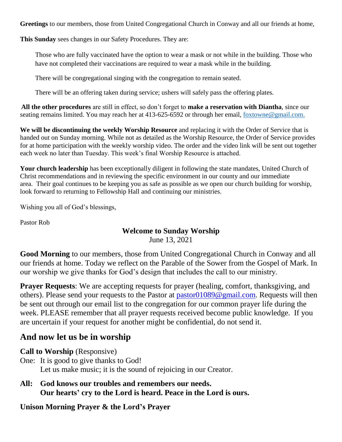**Greetings** to our members, those from United Congregational Church in Conway and all our friends at home,

**This Sunday** sees changes in our Safety Procedures. They are:

Those who are fully vaccinated have the option to wear a mask or not while in the building. Those who have not completed their vaccinations are required to wear a mask while in the building.

There will be congregational singing with the congregation to remain seated.

There will be an offering taken during service; ushers will safely pass the offering plates.

**All the other procedures** are still in effect, so don't forget to **make a reservation with Diantha**, since our seating remains limited. You may reach her at 413-625-6592 or through her email, [foxtowne@gmail.com.](mailto:foxtowne@gmail.com)

**We will be discontinuing the weekly Worship Resource** and replacing it with the Order of Service that is handed out on Sunday morning. While not as detailed as the Worship Resource, the Order of Service provides for at home participation with the weekly worship video. The order and the video link will be sent out together each week no later than Tuesday. This week's final Worship Resource is attached.

**Your church leadership** has been exceptionally diligent in following the state mandates, United Church of Christ recommendations and in reviewing the specific environment in our county and our immediate area. Their goal continues to be keeping you as safe as possible as we open our church building for worship, look forward to returning to Fellowship Hall and continuing our ministries.

Wishing you all of God's blessings,

Pastor Rob

#### **Welcome to Sunday Worship** June 13, 2021

**Good Morning** to our members, those from United Congregational Church in Conway and all our friends at home. Today we reflect on the Parable of the Sower from the Gospel of Mark. In our worship we give thanks for God's design that includes the call to our ministry.

**Prayer Requests**: We are accepting requests for prayer (healing, comfort, thanksgiving, and others). Please send your requests to the Pastor at [pastor01089@gmail.com.](mailto:pastor01089@gmail.com) Requests will then be sent out through our email list to the congregation for our common prayer life during the week. PLEASE remember that all prayer requests received become public knowledge. If you are uncertain if your request for another might be confidential, do not send it.

# **And now let us be in worship**

**Call to Worship** (Responsive)

- One: It is good to give thanks to God! Let us make music; it is the sound of rejoicing in our Creator.
- **All: God knows our troubles and remembers our needs. Our hearts' cry to the Lord is heard. Peace in the Lord is ours.**

#### **Unison Morning Prayer & the Lord's Prayer**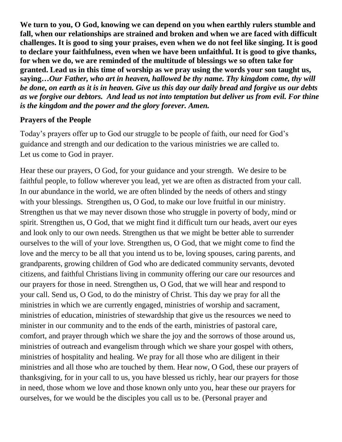**We turn to you, O God, knowing we can depend on you when earthly rulers stumble and fall, when our relationships are strained and broken and when we are faced with difficult challenges. It is good to sing your praises, even when we do not feel like singing. It is good to declare your faithfulness, even when we have been unfaithful. It is good to give thanks, for when we do, we are reminded of the multitude of blessings we so often take for granted. Lead us in this time of worship as we pray using the words your son taught us, saying…***Our Father, who art in heaven, hallowed be thy name. Thy kingdom come, thy will be done, on earth as it is in heaven. Give us this day our daily bread and forgive us our debts as we forgive our debtors. And lead us not into temptation but deliver us from evil. For thine is the kingdom and the power and the glory forever. Amen.*

#### **Prayers of the People**

Today's prayers offer up to God our struggle to be people of faith, our need for God's guidance and strength and our dedication to the various ministries we are called to. Let us come to God in prayer.

Hear these our prayers, O God, for your guidance and your strength. We desire to be faithful people, to follow wherever you lead, yet we are often as distracted from your call. In our abundance in the world, we are often blinded by the needs of others and stingy with your blessings. Strengthen us, O God, to make our love fruitful in our ministry. Strengthen us that we may never disown those who struggle in poverty of body, mind or spirit. Strengthen us, O God, that we might find it difficult turn our heads, avert our eyes and look only to our own needs. Strengthen us that we might be better able to surrender ourselves to the will of your love. Strengthen us, O God, that we might come to find the love and the mercy to be all that you intend us to be, loving spouses, caring parents, and grandparents, growing children of God who are dedicated community servants, devoted citizens, and faithful Christians living in community offering our care our resources and our prayers for those in need. Strengthen us, O God, that we will hear and respond to your call. Send us, O God, to do the ministry of Christ. This day we pray for all the ministries in which we are currently engaged, ministries of worship and sacrament, ministries of education, ministries of stewardship that give us the resources we need to minister in our community and to the ends of the earth, ministries of pastoral care, comfort, and prayer through which we share the joy and the sorrows of those around us, ministries of outreach and evangelism through which we share your gospel with others, ministries of hospitality and healing. We pray for all those who are diligent in their ministries and all those who are touched by them. Hear now, O God, these our prayers of thanksgiving, for in your call to us, you have blessed us richly, hear our prayers for those in need, those whom we love and those known only unto you, hear these our prayers for ourselves, for we would be the disciples you call us to be. (Personal prayer and